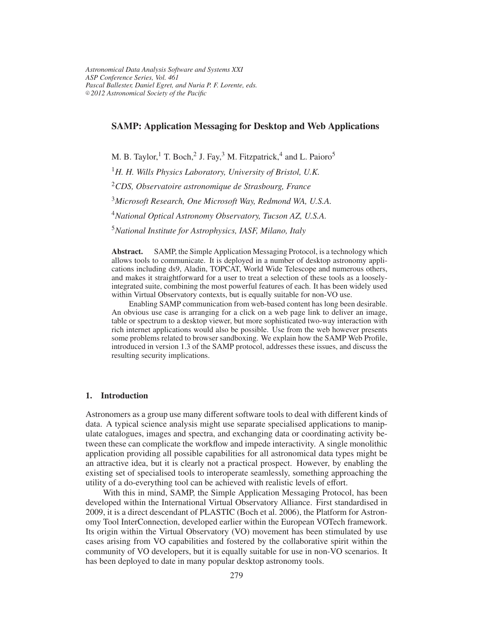# **SAMP: Application Messaging for Desktop and Web Applications**

M. B. Taylor,<sup>1</sup> T. Boch,<sup>2</sup> J. Fay,<sup>3</sup> M. Fitzpatrick,<sup>4</sup> and L. Paioro<sup>5</sup>

<sup>1</sup>*H. H. Wills Physics Laboratory, University of Bristol, U.K.*

<sup>2</sup>*CDS, Observatoire astronomique de Strasbourg, France*

<sup>3</sup>*Microsoft Research, One Microsoft Way, Redmond WA, U.S.A.*

<sup>4</sup>*National Optical Astronomy Observatory, Tucson AZ, U.S.A.*

<sup>5</sup>*National Institute for Astrophysics, IASF, Milano, Italy*

**Abstract.** SAMP, the Simple Application Messaging Protocol, is a technology which allows tools to communicate. It is deployed in a number of desktop astronomy applications including ds9, Aladin, TOPCAT, World Wide Telescope and numerous others, and makes it straightforward for a user to treat a selection of these tools as a looselyintegrated suite, combining the most powerful features of each. It has been widely used within Virtual Observatory contexts, but is equally suitable for non-VO use.

Enabling SAMP communication from web-based content has long been desirable. An obvious use case is arranging for a click on a web page link to deliver an image, table or spectrum to a desktop viewer, but more sophisticated two-way interaction with rich internet applications would also be possible. Use from the web however presents some problems related to browser sandboxing. We explain how the SAMP Web Profile, introduced in version 1.3 of the SAMP protocol, addresses these issues, and discuss the resulting security implications.

# **1. Introduction**

Astronomers as a group use many different software tools to deal with different kinds of data. A typical science analysis might use separate specialised applications to manipulate catalogues, images and spectra, and exchanging data or coordinating activity between these can complicate the workflow and impede interactivity. A single monolithic application providing all possible capabilities for all astronomical data types might be an attractive idea, but it is clearly not a practical prospect. However, by enabling the existing set of specialised tools to interoperate seamlessly, something approaching the utility of a do-everything tool can be achieved with realistic levels of effort.

With this in mind, SAMP, the Simple Application Messaging Protocol, has been developed within the International Virtual Observatory Alliance. First standardised in 2009, it is a direct descendant of PLASTIC (Boch et al. 2006), the Platform for Astronomy Tool InterConnection, developed earlier within the European VOTech framework. Its origin within the Virtual Observatory (VO) movement has been stimulated by use cases arising from VO capabilities and fostered by the collaborative spirit within the community of VO developers, but it is equally suitable for use in non-VO scenarios. It has been deployed to date in many popular desktop astronomy tools.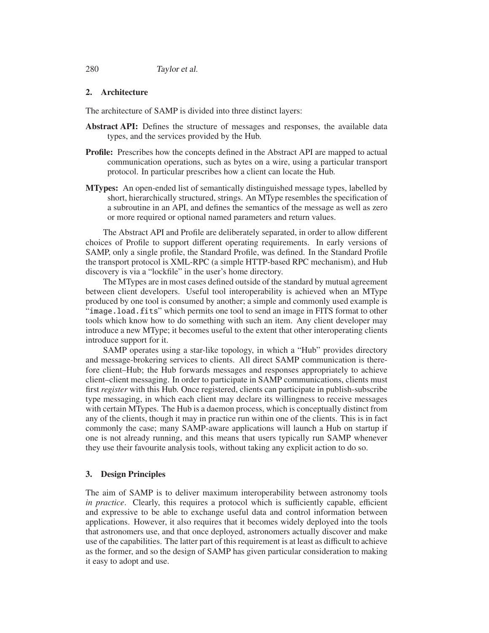280 Taylor et al.

# **2. Architecture**

The architecture of SAMP is divided into three distinct layers:

- **Abstract API:** Defines the structure of messages and responses, the available data types, and the services provided by the Hub.
- **Profile:** Prescribes how the concepts defined in the Abstract API are mapped to actual communication operations, such as bytes on a wire, using a particular transport protocol. In particular prescribes how a client can locate the Hub.
- **MTypes:** An open-ended list of semantically distinguished message types, labelled by short, hierarchically structured, strings. An MType resembles the specification of a subroutine in an API, and defines the semantics of the message as well as zero or more required or optional named parameters and return values.

The Abstract API and Profile are deliberately separated, in order to allow different choices of Profile to support different operating requirements. In early versions of SAMP, only a single profile, the Standard Profile, was defined. In the Standard Profile the transport protocol is XML-RPC (a simple HTTP-based RPC mechanism), and Hub discovery is via a "lockfile" in the user's home directory.

The MTypes are in most cases defined outside of the standard by mutual agreement between client developers. Useful tool interoperability is achieved when an MType produced by one tool is consumed by another; a simple and commonly used example is "image.load.fits" which permits one tool to send an image in FITS format to other tools which know how to do something with such an item. Any client developer may introduce a new MType; it becomes useful to the extent that other interoperating clients introduce support for it.

SAMP operates using a star-like topology, in which a "Hub" provides directory and message-brokering services to clients. All direct SAMP communication is therefore client–Hub; the Hub forwards messages and responses appropriately to achieve client–client messaging. In order to participate in SAMP communications, clients must first *register* with this Hub. Once registered, clients can participate in publish-subscribe type messaging, in which each client may declare its willingness to receive messages with certain MTypes. The Hub is a daemon process, which is conceptually distinct from any of the clients, though it may in practice run within one of the clients. This is in fact commonly the case; many SAMP-aware applications will launch a Hub on startup if one is not already running, and this means that users typically run SAMP whenever they use their favourite analysis tools, without taking any explicit action to do so.

### **3. Design Principles**

The aim of SAMP is to deliver maximum interoperability between astronomy tools *in practice*. Clearly, this requires a protocol which is sufficiently capable, efficient and expressive to be able to exchange useful data and control information between applications. However, it also requires that it becomes widely deployed into the tools that astronomers use, and that once deployed, astronomers actually discover and make use of the capabilities. The latter part of this requirement is at least as difficult to achieve as the former, and so the design of SAMP has given particular consideration to making it easy to adopt and use.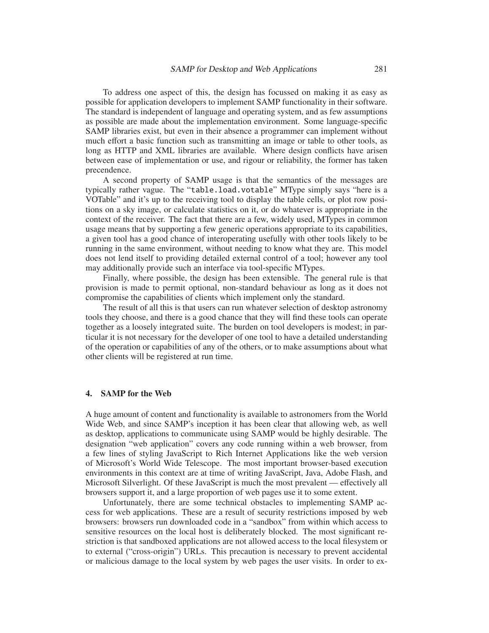To address one aspect of this, the design has focussed on making it as easy as possible for application developers to implement SAMP functionality in their software. The standard is independent of language and operating system, and as few assumptions as possible are made about the implementation environment. Some language-specific SAMP libraries exist, but even in their absence a programmer can implement without much effort a basic function such as transmitting an image or table to other tools, as long as HTTP and XML libraries are available. Where design conflicts have arisen between ease of implementation or use, and rigour or reliability, the former has taken precendence.

A second property of SAMP usage is that the semantics of the messages are typically rather vague. The "table.load.votable" MType simply says "here is a VOTable" and it's up to the receiving tool to display the table cells, or plot row positions on a sky image, or calculate statistics on it, or do whatever is appropriate in the context of the receiver. The fact that there are a few, widely used, MTypes in common usage means that by supporting a few generic operations appropriate to its capabilities, a given tool has a good chance of interoperating usefully with other tools likely to be running in the same environment, without needing to know what they are. This model does not lend itself to providing detailed external control of a tool; however any tool may additionally provide such an interface via tool-specific MTypes.

Finally, where possible, the design has been extensible. The general rule is that provision is made to permit optional, non-standard behaviour as long as it does not compromise the capabilities of clients which implement only the standard.

The result of all this is that users can run whatever selection of desktop astronomy tools they choose, and there is a good chance that they will find these tools can operate together as a loosely integrated suite. The burden on tool developers is modest; in particular it is not necessary for the developer of one tool to have a detailed understanding of the operation or capabilities of any of the others, or to make assumptions about what other clients will be registered at run time.

### **4. SAMP for the Web**

A huge amount of content and functionality is available to astronomers from the World Wide Web, and since SAMP's inception it has been clear that allowing web, as well as desktop, applications to communicate using SAMP would be highly desirable. The designation "web application" covers any code running within a web browser, from a few lines of styling JavaScript to Rich Internet Applications like the web version of Microsoft's World Wide Telescope. The most important browser-based execution environments in this context are at time of writing JavaScript, Java, Adobe Flash, and Microsoft Silverlight. Of these JavaScript is much the most prevalent — effectively all browsers support it, and a large proportion of web pages use it to some extent.

Unfortunately, there are some technical obstacles to implementing SAMP access for web applications. These are a result of security restrictions imposed by web browsers: browsers run downloaded code in a "sandbox" from within which access to sensitive resources on the local host is deliberately blocked. The most significant restriction is that sandboxed applications are not allowed access to the local filesystem or to external ("cross-origin") URLs. This precaution is necessary to prevent accidental or malicious damage to the local system by web pages the user visits. In order to ex